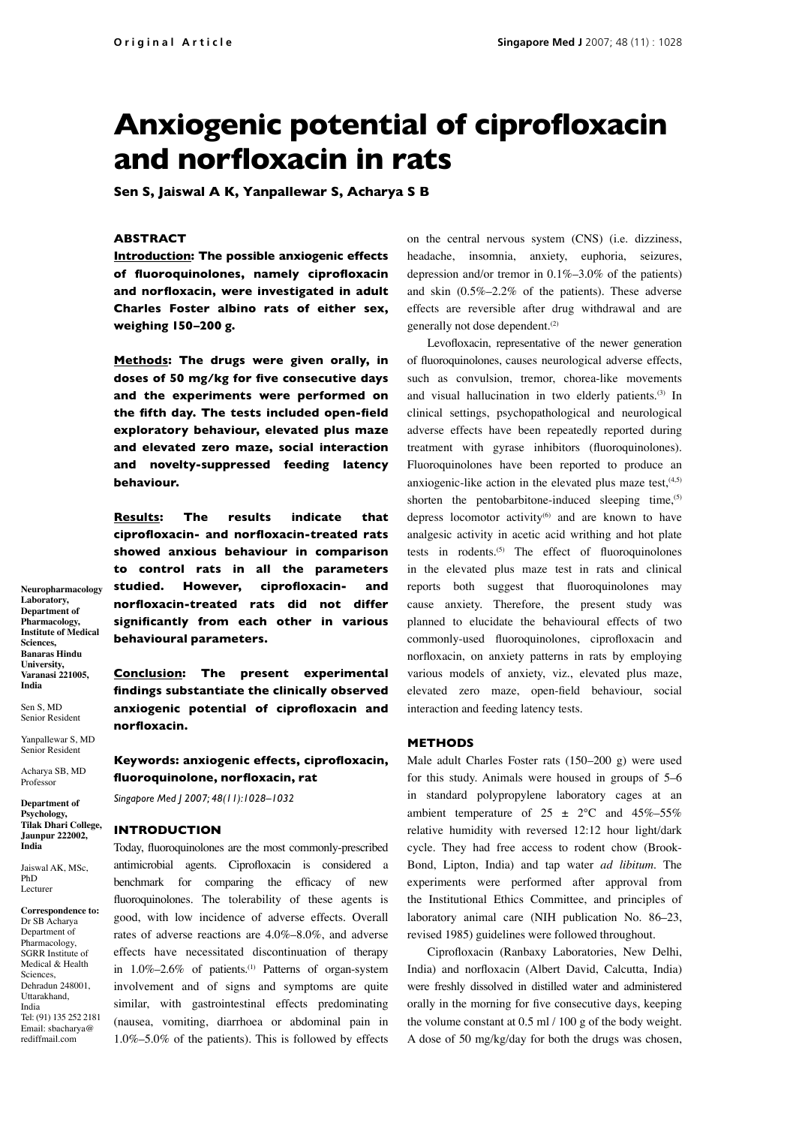# **Anxiogenic potential of ciprofloxacin and norfloxacin in rats**

**Sen S, Jaiswal A K, Yanpallewar S, Acharya S B**

## **ABSTRACT**

**Introduction: The possible anxiogenic effects of fluoroquinolones, namely ciprofloxacin and norfloxacin, were investigated in adult Charles Foster albino rats of either sex, weighing 150–200 g.** 

**Methods: The drugs were given orally, in doses of 50 mg/kg for five consecutive days and the experiments were performed on the fifth day. The tests included open-field exploratory behaviour, elevated plus maze and elevated zero maze, social interaction and novelty-suppressed feeding latency behaviour.** 

**Results: The results indicate that ciprofloxacin- and norfloxacin-treated rats showed anxious behaviour in comparison to control rats in all the parameters studied. However, ciprofloxacin- and norfloxacin-treated rats did not differ significantly from each other in various behavioural parameters.** 

**Conclusion: The present experimental findings substantiate the clinically observed anxiogenic potential of ciprofloxacin and norfloxacin.**

**Keywords: anxiogenic effects, ciprofloxacin, fluoroquinolone, norfloxacin, rat**

*Singapore Med J 2007; 48(11):1028–1032*

#### **INTRODUCTION**

Today, fluoroquinolones are the most commonly-prescribed antimicrobial agents. Ciprofloxacin is considered a benchmark for comparing the efficacy of new fluoroquinolones. The tolerability of these agents is good, with low incidence of adverse effects. Overall rates of adverse reactions are 4.0%–8.0%, and adverse effects have necessitated discontinuation of therapy in 1.0%–2.6% of patients.<sup>(1)</sup> Patterns of organ-system involvement and of signs and symptoms are quite similar, with gastrointestinal effects predominating (nausea, vomiting, diarrhoea or abdominal pain in 1.0%–5.0% of the patients). This is followed by effects on the central nervous system (CNS) (i.e. dizziness, headache, insomnia, anxiety, euphoria, seizures, depression and/or tremor in 0.1%–3.0% of the patients) and skin (0.5%–2.2% of the patients). These adverse effects are reversible after drug withdrawal and are generally not dose dependent.<sup>(2)</sup>

Levofloxacin, representative of the newer generation of fluoroquinolones, causes neurological adverse effects, such as convulsion, tremor, chorea-like movements and visual hallucination in two elderly patients.<sup>(3)</sup> In clinical settings, psychopathological and neurological adverse effects have been repeatedly reported during treatment with gyrase inhibitors (fluoroquinolones). Fluoroquinolones have been reported to produce an anxiogenic-like action in the elevated plus maze test, $(4,5)$ shorten the pentobarbitone-induced sleeping time, $(5)$ depress locomotor activity<sup>(6)</sup> and are known to have analgesic activity in acetic acid writhing and hot plate tests in rodents.(5) The effect of fluoroquinolones in the elevated plus maze test in rats and clinical reports both suggest that fluoroquinolones may cause anxiety. Therefore, the present study was planned to elucidate the behavioural effects of two commonly-used fluoroquinolones, ciprofloxacin and norfloxacin, on anxiety patterns in rats by employing various models of anxiety, viz., elevated plus maze, elevated zero maze, open-field behaviour, social interaction and feeding latency tests.

## **METHODS**

Male adult Charles Foster rats (150–200 g) were used for this study. Animals were housed in groups of 5–6 in standard polypropylene laboratory cages at an ambient temperature of  $25 \pm 2$ °C and  $45\%$ -55% relative humidity with reversed 12:12 hour light/dark cycle. They had free access to rodent chow (Brook-Bond, Lipton, India) and tap water *ad libitum*. The experiments were performed after approval from the Institutional Ethics Committee, and principles of laboratory animal care (NIH publication No. 86–23, revised 1985) guidelines were followed throughout.

Ciprofloxacin (Ranbaxy Laboratories, New Delhi, India) and norfloxacin (Albert David, Calcutta, India) were freshly dissolved in distilled water and administered orally in the morning for five consecutive days, keeping the volume constant at 0.5 ml / 100 g of the body weight. A dose of 50 mg/kg/day for both the drugs was chosen,

**Neuropharmacology Laboratory, Department of Pharmacology, Institute of Medical Sciences, Banaras Hindu University, Varanasi 221005, India**

Senior Resident Yanpallewar S, MD

Sen S, MD

Senior Residen Acharya SB, MD

Professor **Department of** 

**Psychology, Tilak Dhari College, Jaunpur 222002, India**

Jaiswal AK, MSc, PhD Lecture

**Correspondence to:** Dr SB Acharya Department of Pharmacology, SGRR Institute of Medical & Health Sciences, Dehradun 248001, Uttarakhand, India Tel: (91) 135 252 2181 Email: sbacharya@ rediffmail.com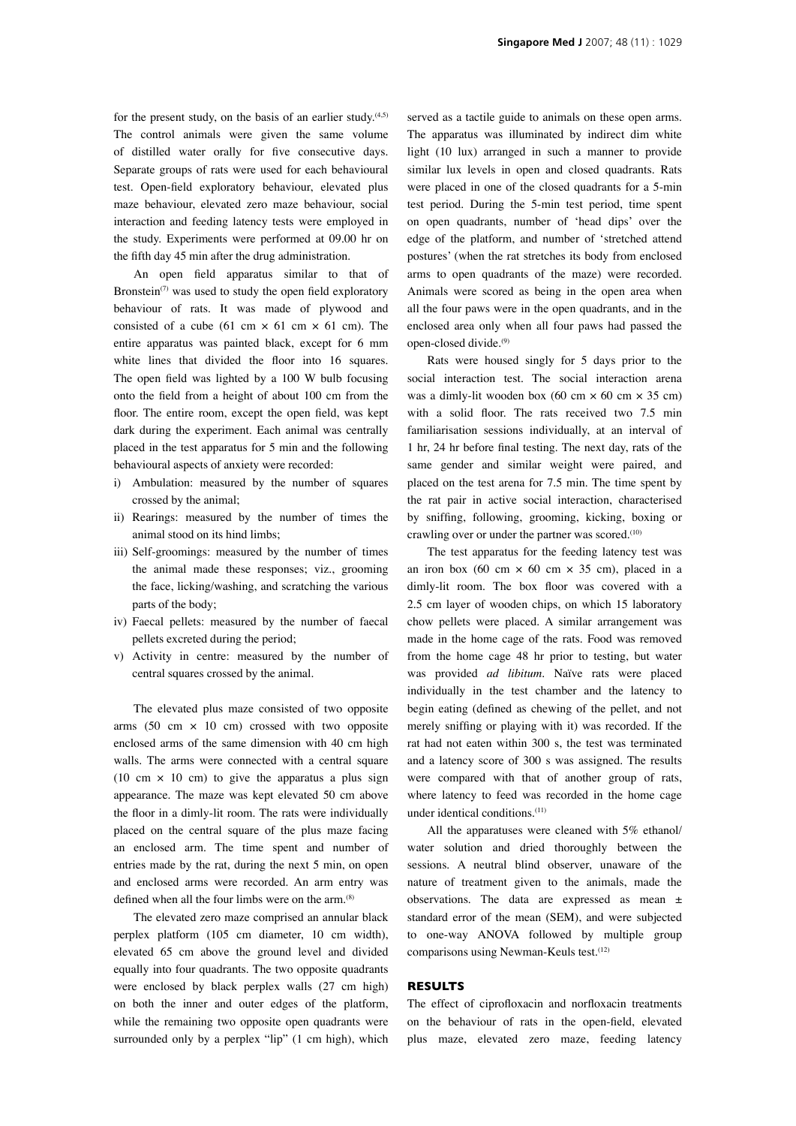for the present study, on the basis of an earlier study. $(4,5)$ The control animals were given the same volume of distilled water orally for five consecutive days. Separate groups of rats were used for each behavioural test. Open-field exploratory behaviour, elevated plus maze behaviour, elevated zero maze behaviour, social interaction and feeding latency tests were employed in the study. Experiments were performed at 09.00 hr on the fifth day 45 min after the drug administration.

An open field apparatus similar to that of Bronstein<sup>(7)</sup> was used to study the open field exploratory behaviour of rats. It was made of plywood and consisted of a cube (61 cm  $\times$  61 cm  $\times$  61 cm). The entire apparatus was painted black, except for 6 mm white lines that divided the floor into 16 squares. The open field was lighted by a 100 W bulb focusing onto the field from a height of about 100 cm from the floor. The entire room, except the open field, was kept dark during the experiment. Each animal was centrally placed in the test apparatus for 5 min and the following behavioural aspects of anxiety were recorded:

- i) Ambulation: measured by the number of squares crossed by the animal;
- ii) Rearings: measured by the number of times the animal stood on its hind limbs;
- iii) Self-groomings: measured by the number of times the animal made these responses; viz., grooming the face, licking/washing, and scratching the various parts of the body;
- iv) Faecal pellets: measured by the number of faecal pellets excreted during the period;
- v) Activity in centre: measured by the number of central squares crossed by the animal.

The elevated plus maze consisted of two opposite arms  $(50 \text{ cm} \times 10 \text{ cm})$  crossed with two opposite enclosed arms of the same dimension with 40 cm high walls. The arms were connected with a central square (10 cm  $\times$  10 cm) to give the apparatus a plus sign appearance. The maze was kept elevated 50 cm above the floor in a dimly-lit room. The rats were individually placed on the central square of the plus maze facing an enclosed arm. The time spent and number of entries made by the rat, during the next 5 min, on open and enclosed arms were recorded. An arm entry was defined when all the four limbs were on the arm.<sup>(8)</sup>

The elevated zero maze comprised an annular black perplex platform (105 cm diameter, 10 cm width), elevated 65 cm above the ground level and divided equally into four quadrants. The two opposite quadrants were enclosed by black perplex walls (27 cm high) on both the inner and outer edges of the platform, while the remaining two opposite open quadrants were surrounded only by a perplex "lip" (1 cm high), which

served as a tactile guide to animals on these open arms. The apparatus was illuminated by indirect dim white light (10 lux) arranged in such a manner to provide similar lux levels in open and closed quadrants. Rats were placed in one of the closed quadrants for a 5-min test period. During the 5-min test period, time spent on open quadrants, number of 'head dips' over the edge of the platform, and number of 'stretched attend postures' (when the rat stretches its body from enclosed arms to open quadrants of the maze) were recorded. Animals were scored as being in the open area when all the four paws were in the open quadrants, and in the enclosed area only when all four paws had passed the open-closed divide.(9)

Rats were housed singly for 5 days prior to the social interaction test. The social interaction arena was a dimly-lit wooden box (60 cm  $\times$  60 cm  $\times$  35 cm) with a solid floor. The rats received two 7.5 min familiarisation sessions individually, at an interval of 1 hr, 24 hr before final testing. The next day, rats of the same gender and similar weight were paired, and placed on the test arena for 7.5 min. The time spent by the rat pair in active social interaction, characterised by sniffing, following, grooming, kicking, boxing or crawling over or under the partner was scored.<sup>(10)</sup>

The test apparatus for the feeding latency test was an iron box (60 cm  $\times$  60 cm  $\times$  35 cm), placed in a dimly-lit room. The box floor was covered with a 2.5 cm layer of wooden chips, on which 15 laboratory chow pellets were placed. A similar arrangement was made in the home cage of the rats. Food was removed from the home cage 48 hr prior to testing, but water was provided *ad libitum*. Naïve rats were placed individually in the test chamber and the latency to begin eating (defined as chewing of the pellet, and not merely sniffing or playing with it) was recorded. If the rat had not eaten within 300 s, the test was terminated and a latency score of 300 s was assigned. The results were compared with that of another group of rats, where latency to feed was recorded in the home cage under identical conditions.(11)

All the apparatuses were cleaned with 5% ethanol/ water solution and dried thoroughly between the sessions. A neutral blind observer, unaware of the nature of treatment given to the animals, made the observations. The data are expressed as mean ± standard error of the mean (SEM), and were subjected to one-way ANOVA followed by multiple group comparisons using Newman-Keuls test.<sup>(12)</sup>

## **RESULTS**

The effect of ciprofloxacin and norfloxacin treatments on the behaviour of rats in the open-field, elevated plus maze, elevated zero maze, feeding latency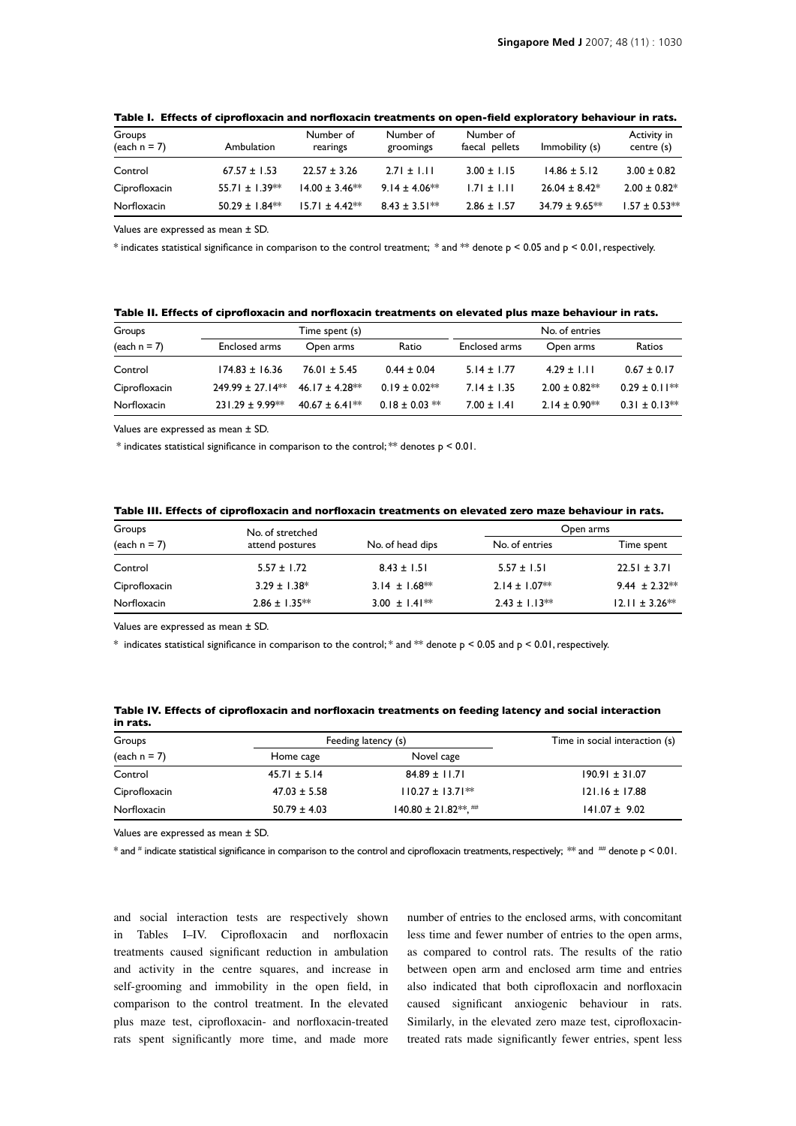| Groups<br>$\text{(each n = 7)}$ | Ambulation         | Number of<br>rearings | Number of<br>groomings | Number of<br>faecal pellets | Immobility (s)     | Activity in<br>centre (s) |
|---------------------------------|--------------------|-----------------------|------------------------|-----------------------------|--------------------|---------------------------|
| Control                         | $67.57 \pm 1.53$   | $22.57 \pm 3.26$      | $2.71 \pm 1.11$        | $3.00 \pm 1.15$             | $14.86 \pm 5.12$   | $3.00 \pm 0.82$           |
| Ciprofloxacin                   | $55.71 \pm 1.39**$ | $14.00 \pm 3.46**$    | $9.14 \pm 4.06**$      | $1.71 \pm 1.11$             | $26.04 \pm 8.42^*$ | $2.00 \pm 0.82^*$         |
| Norfloxacin                     | $50.29 \pm 1.84**$ | $15.71 \pm 4.42**$    | $8.43 \pm 3.51**$      | $2.86 \pm 1.57$             | $34.79 \pm 9.65**$ | $1.57 \pm 0.53**$         |

**Table I. Effects of ciprofloxacin and norfloxacin treatments on open-field exploratory behaviour in rats.** 

Values are expressed as mean ± SD.

\* indicates statistical significance in comparison to the control treatment; \* and \*\* denote p < 0.05 and p < 0.01, respectively.

| Table II. Effects of ciprofloxacin and norfloxacin treatments on elevated plus maze behaviour in rats. |  |  |  |  |  |  |  |  |  |
|--------------------------------------------------------------------------------------------------------|--|--|--|--|--|--|--|--|--|
|--------------------------------------------------------------------------------------------------------|--|--|--|--|--|--|--|--|--|

| Groups                | Time spent (s)        |                    |                    | No. of entries  |                   |                   |
|-----------------------|-----------------------|--------------------|--------------------|-----------------|-------------------|-------------------|
| $\text{(each n = 7)}$ | Enclosed arms         | Open arms          | Ratio              | Enclosed arms   | Open arms         | Ratios            |
| Control               | $174.83 \pm 16.36$    | $76.01 \pm 5.45$   | $0.44 \pm 0.04$    | $5.14 \pm 1.77$ | $4.29 \pm 1.11$   | $0.67 \pm 0.17$   |
| Ciprofloxacin         | $249.99 \pm 27.14***$ | $46.17 \pm 4.28**$ | $0.19 \pm 0.02**$  | $7.14 \pm 1.35$ | $2.00 \pm 0.82**$ | $0.29 \pm 0.11**$ |
| Norfloxacin           | $231.29 \pm 9.99**$   | $40.67 \pm 6.41**$ | $0.18 \pm 0.03$ ** | $7.00 \pm 1.41$ | $2.14 \pm 0.90**$ | $0.31 \pm 0.13**$ |

Values are expressed as mean ± SD.

 $*$  indicates statistical significance in comparison to the control; \*\* denotes  $p < 0.01$ .

| Groups                | No. of stretched  |                   | Open arms         |                    |  |
|-----------------------|-------------------|-------------------|-------------------|--------------------|--|
| $\text{(each n = 7)}$ | attend postures   | No. of head dips  | No. of entries    | Time spent         |  |
| Control               | $5.57 \pm 1.72$   | $8.43 \pm 1.51$   | $5.57 \pm 1.51$   | $22.51 \pm 3.71$   |  |
| Ciprofloxacin         | $3.29 \pm 1.38^*$ | $3.14 \pm 1.68**$ | $2.14 \pm 1.07**$ | $9.44 \pm 2.32**$  |  |
| Norfloxacin           | $2.86 \pm 1.35**$ | $3.00 \pm 1.41**$ | $2.43 \pm 1.13**$ | $12.11 \pm 3.26**$ |  |

**Table III. Effects of ciprofloxacin and norfloxacin treatments on elevated zero maze behaviour in rats.** 

Values are expressed as mean ± SD.

\* indicates statistical significance in comparison to the control; \* and \*\* denote  $p < 0.05$  and  $p < 0.01$ , respectively.

**Table IV. Effects of ciprofloxacin and norfloxacin treatments on feeding latency and social interaction in rats.** 

| Groups                     |                  | Feeding latency (s)             | Time in social interaction (s) |
|----------------------------|------------------|---------------------------------|--------------------------------|
| $\frac{1}{2}$ (each n = 7) | Home cage        | Novel cage                      |                                |
| Control                    | $45.71 \pm 5.14$ | $84.89 \pm 11.71$               | $190.91 \pm 31.07$             |
| Ciprofloxacin              | $47.03 \pm 5.58$ | $110.27 \pm 13.7$ <sup>**</sup> | $121.16 \pm 17.88$             |
| Norfloxacin                | $50.79 \pm 4.03$ | $140.80 \pm 21.82**$ . ##       | $141.07 \pm 9.02$              |

Values are expressed as mean ± SD.

 $*$  and  $*$  indicate statistical significance in comparison to the control and ciprofloxacin treatments, respectively;  $^{*}\!*$  and  $^{*\!*}$  denote p < 0.01.

and social interaction tests are respectively shown in Tables I–IV. Ciprofloxacin and norfloxacin treatments caused significant reduction in ambulation and activity in the centre squares, and increase in self-grooming and immobility in the open field, in comparison to the control treatment. In the elevated plus maze test, ciprofloxacin- and norfloxacin-treated rats spent significantly more time, and made more

number of entries to the enclosed arms, with concomitant less time and fewer number of entries to the open arms, as compared to control rats. The results of the ratio between open arm and enclosed arm time and entries also indicated that both ciprofloxacin and norfloxacin caused significant anxiogenic behaviour in rats. Similarly, in the elevated zero maze test, ciprofloxacintreated rats made significantly fewer entries, spent less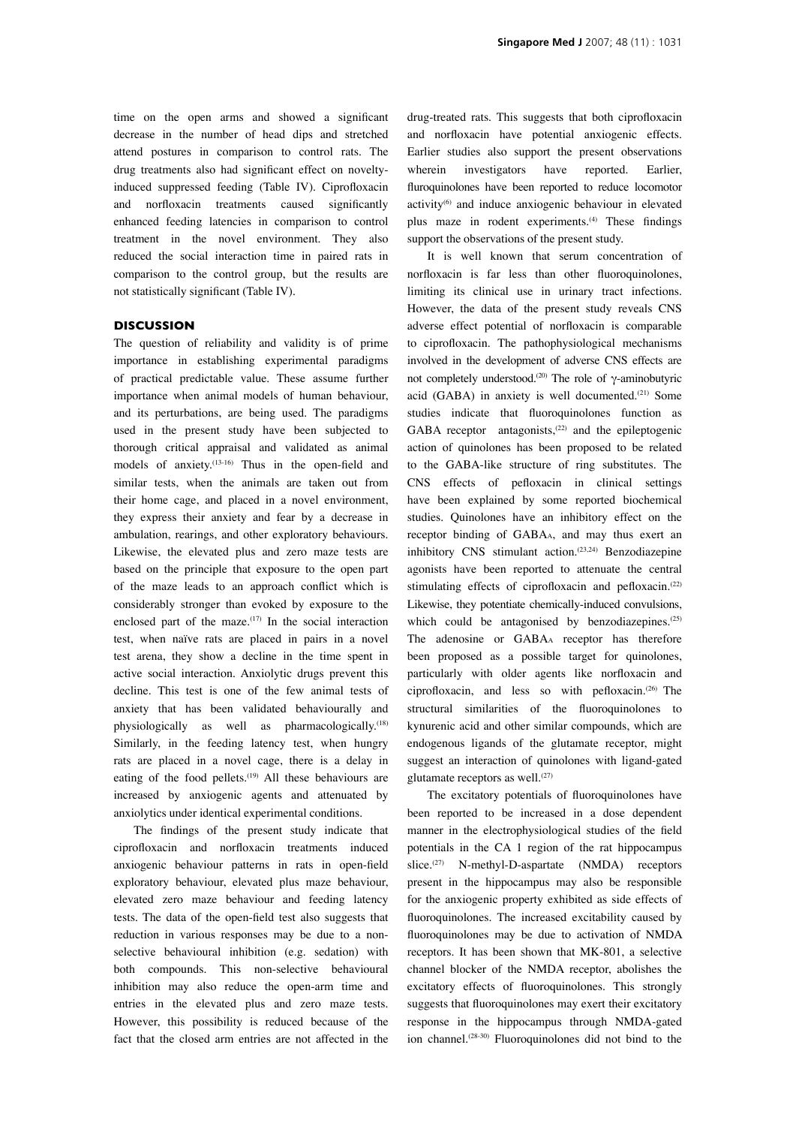time on the open arms and showed a significant decrease in the number of head dips and stretched attend postures in comparison to control rats. The drug treatments also had significant effect on noveltyinduced suppressed feeding (Table IV). Ciprofloxacin and norfloxacin treatments caused significantly enhanced feeding latencies in comparison to control treatment in the novel environment. They also reduced the social interaction time in paired rats in comparison to the control group, but the results are not statistically significant (Table IV).

#### **DISCUSSION**

The question of reliability and validity is of prime importance in establishing experimental paradigms of practical predictable value. These assume further importance when animal models of human behaviour, and its perturbations, are being used. The paradigms used in the present study have been subjected to thorough critical appraisal and validated as animal models of anxiety. $(13-16)$  Thus in the open-field and similar tests, when the animals are taken out from their home cage, and placed in a novel environment, they express their anxiety and fear by a decrease in ambulation, rearings, and other exploratory behaviours. Likewise, the elevated plus and zero maze tests are based on the principle that exposure to the open part of the maze leads to an approach conflict which is considerably stronger than evoked by exposure to the enclosed part of the maze.<sup>(17)</sup> In the social interaction test, when naïve rats are placed in pairs in a novel test arena, they show a decline in the time spent in active social interaction. Anxiolytic drugs prevent this decline. This test is one of the few animal tests of anxiety that has been validated behaviourally and physiologically as well as pharmacologically.<sup>(18)</sup> Similarly, in the feeding latency test, when hungry rats are placed in a novel cage, there is a delay in eating of the food pellets.<sup>(19)</sup> All these behaviours are increased by anxiogenic agents and attenuated by anxiolytics under identical experimental conditions.

The findings of the present study indicate that ciprofloxacin and norfloxacin treatments induced anxiogenic behaviour patterns in rats in open-field exploratory behaviour, elevated plus maze behaviour, elevated zero maze behaviour and feeding latency tests. The data of the open-field test also suggests that reduction in various responses may be due to a nonselective behavioural inhibition (e.g. sedation) with both compounds. This non-selective behavioural inhibition may also reduce the open-arm time and entries in the elevated plus and zero maze tests. However, this possibility is reduced because of the fact that the closed arm entries are not affected in the drug-treated rats. This suggests that both ciprofloxacin and norfloxacin have potential anxiogenic effects. Earlier studies also support the present observations wherein investigators have reported. Earlier, fluroquinolones have been reported to reduce locomotor activity<sup>(6)</sup> and induce anxiogenic behaviour in elevated plus maze in rodent experiments.<sup>(4)</sup> These findings support the observations of the present study.

It is well known that serum concentration of norfloxacin is far less than other fluoroquinolones, limiting its clinical use in urinary tract infections. However, the data of the present study reveals CNS adverse effect potential of norfloxacin is comparable to ciprofloxacin. The pathophysiological mechanisms involved in the development of adverse CNS effects are not completely understood.<sup>(20)</sup> The role of γ-aminobutyric acid (GABA) in anxiety is well documented.<sup>(21)</sup> Some studies indicate that fluoroquinolones function as GABA receptor antagonists, $(22)$  and the epileptogenic action of quinolones has been proposed to be related to the GABA-like structure of ring substitutes. The CNS effects of pefloxacin in clinical settings have been explained by some reported biochemical studies. Quinolones have an inhibitory effect on the receptor binding of GABAA, and may thus exert an inhibitory CNS stimulant action.<sup>(23,24)</sup> Benzodiazepine agonists have been reported to attenuate the central stimulating effects of ciprofloxacin and pefloxacin.<sup>(22)</sup> Likewise, they potentiate chemically-induced convulsions, which could be antagonised by benzodiazepines.<sup>(25)</sup> The adenosine or GABAA receptor has therefore been proposed as a possible target for quinolones, particularly with older agents like norfloxacin and ciprofloxacin, and less so with pefloxacin.(26) The structural similarities of the fluoroquinolones to kynurenic acid and other similar compounds, which are endogenous ligands of the glutamate receptor, might suggest an interaction of quinolones with ligand-gated glutamate receptors as well.<sup>(27)</sup>

The excitatory potentials of fluoroquinolones have been reported to be increased in a dose dependent manner in the electrophysiological studies of the field potentials in the CA 1 region of the rat hippocampus slice.<sup>(27)</sup> N-methyl-D-aspartate (NMDA) receptors present in the hippocampus may also be responsible for the anxiogenic property exhibited as side effects of fluoroquinolones. The increased excitability caused by fluoroquinolones may be due to activation of NMDA receptors. It has been shown that MK-801, a selective channel blocker of the NMDA receptor, abolishes the excitatory effects of fluoroquinolones. This strongly suggests that fluoroquinolones may exert their excitatory response in the hippocampus through NMDA-gated ion channel.(28-30) Fluoroquinolones did not bind to the